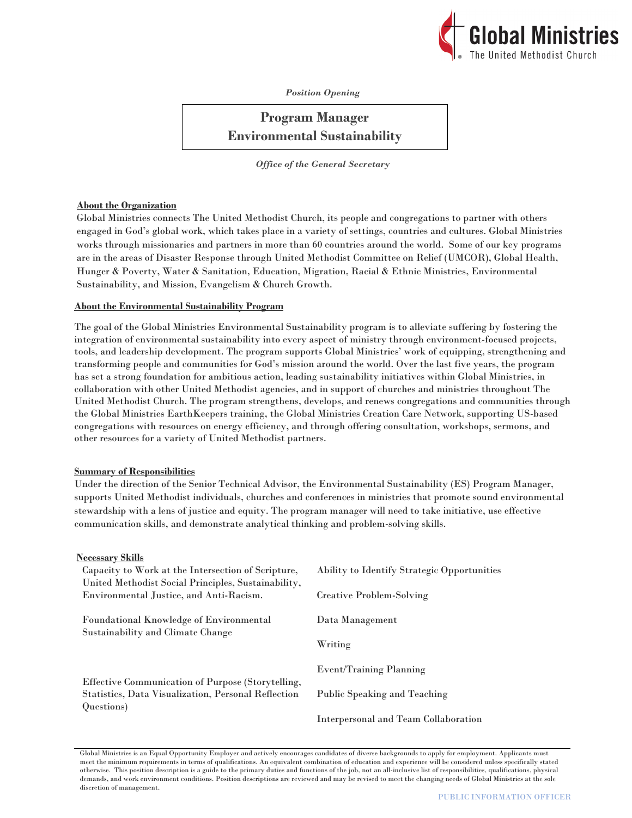

*Position Opening*

# **Program Manager Environmental Sustainability**

*Office of the General Secretary*

## **About the Organization**

Global Ministries connects The United Methodist Church, its people and congregations to partner with others engaged in God's global work, which takes place in a variety of settings, countries and cultures. Global Ministries works through missionaries and partners in more than 60 countries around the world. Some of our key programs are in the areas of Disaster Response through United Methodist Committee on Relief (UMCOR), Global Health, Hunger & Poverty, Water & Sanitation, Education, Migration, Racial & Ethnic Ministries, Environmental Sustainability, and Mission, Evangelism & Church Growth.

## **About the Environmental Sustainability Program**

The goal of the Global Ministries Environmental Sustainability program is to alleviate suffering by fostering the integration of environmental sustainability into every aspect of ministry through environment-focused projects, tools, and leadership development. The program supports Global Ministries' work of equipping, strengthening and transforming people and communities for God's mission around the world. Over the last five years, the program has set a strong foundation for ambitious action, leading sustainability initiatives within Global Ministries, in collaboration with other United Methodist agencies, and in support of churches and ministries throughout The United Methodist Church. The program strengthens, develops, and renews congregations and communities through the Global Ministries EarthKeepers training, the Global Ministries Creation Care Network, supporting US-based congregations with resources on energy efficiency, and through offering consultation, workshops, sermons, and other resources for a variety of United Methodist partners.

## **Summary of Responsibilities**

Under the direction of the Senior Technical Advisor, the Environmental Sustainability (ES) Program Manager, supports United Methodist individuals, churches and conferences in ministries that promote sound environmental stewardship with a lens of justice and equity. The program manager will need to take initiative, use effective communication skills, and demonstrate analytical thinking and problem-solving skills.

## **Necessary Skills**

| TUUUDUMI Y MILIIKU                                         |                                             |
|------------------------------------------------------------|---------------------------------------------|
| Capacity to Work at the Intersection of Scripture,         | Ability to Identify Strategic Opportunities |
| United Methodist Social Principles, Sustainability,        |                                             |
| Environmental Justice, and Anti-Racism.                    | Creative Problem-Solving                    |
|                                                            |                                             |
| <b>Foundational Knowledge of Environmental</b>             | Data Management                             |
| Sustainability and Climate Change                          |                                             |
|                                                            | Writing                                     |
|                                                            | <b>Event/Training Planning</b>              |
| Effective Communication of Purpose (Storytelling,          |                                             |
| <b>Statistics, Data Visualization, Personal Reflection</b> | Public Speaking and Teaching                |
| Questions)                                                 |                                             |
|                                                            | Interpersonal and Team Collaboration        |

Global Ministries is an Equal Opportunity Employer and actively encourages candidates of diverse backgrounds to apply for employment. Applicants must meet the minimum requirements in terms of qualifications. An equivalent combination of education and experience will be considered unless specifically stated otherwise. This position description is a guide to the primary duties and functions of the job, not an all-inclusive list of responsibilities, qualifications, physical demands, and work environment conditions. Position descriptions are reviewed and may be revised to meet the changing needs of Global Ministries at the sole discretion of management.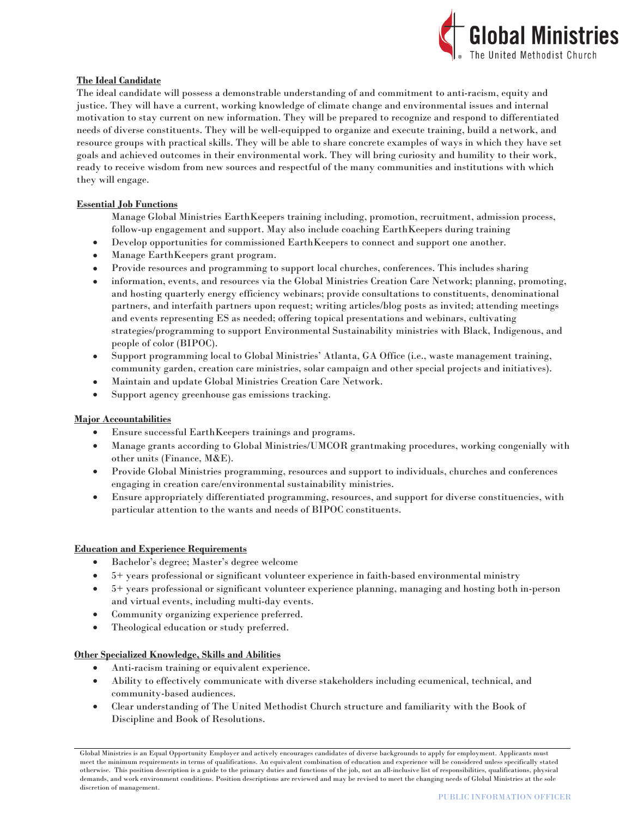

## **The Ideal Candidate**

The ideal candidate will possess a demonstrable understanding of and commitment to anti-racism, equity and justice. They will have a current, working knowledge of climate change and environmental issues and internal motivation to stay current on new information. They will be prepared to recognize and respond to differentiated needs of diverse constituents. They will be well-equipped to organize and execute training, build a network, and resource groups with practical skills. They will be able to share concrete examples of ways in which they have set goals and achieved outcomes in their environmental work. They will bring curiosity and humility to their work, ready to receive wisdom from new sources and respectful of the many communities and institutions with which they will engage.

## **Essential Job Functions**

Manage Global Ministries EarthKeepers training including, promotion, recruitment, admission process, follow-up engagement and support. May also include coaching EarthKeepers during training

- Develop opportunities for commissioned EarthKeepers to connect and support one another.
- Manage EarthKeepers grant program.
- Provide resources and programming to support local churches, conferences. This includes sharing
- information, events, and resources via the Global Ministries Creation Care Network; planning, promoting, and hosting quarterly energy efficiency webinars; provide consultations to constituents, denominational partners, and interfaith partners upon request; writing articles/blog posts as invited; attending meetings and events representing ES as needed; offering topical presentations and webinars, cultivating strategies/programming to support Environmental Sustainability ministries with Black, Indigenous, and people of color (BIPOC).
- Support programming local to Global Ministries' Atlanta, GA Office (i.e., waste management training, community garden, creation care ministries, solar campaign and other special projects and initiatives).
- Maintain and update Global Ministries Creation Care Network.
- Support agency greenhouse gas emissions tracking.

## **Major Accountabilities**

- Ensure successful EarthKeepers trainings and programs.
- Manage grants according to Global Ministries/UMCOR grantmaking procedures, working congenially with other units (Finance, M&E).
- Provide Global Ministries programming, resources and support to individuals, churches and conferences engaging in creation care/environmental sustainability ministries.
- Ensure appropriately differentiated programming, resources, and support for diverse constituencies, with particular attention to the wants and needs of BIPOC constituents.

## **Education and Experience Requirements**

- Bachelor's degree; Master's degree welcome
- 5+ years professional or significant volunteer experience in faith-based environmental ministry
- 5+ years professional or significant volunteer experience planning, managing and hosting both in-person and virtual events, including multi-day events.
- Community organizing experience preferred.
- Theological education or study preferred.

## **Other Specialized Knowledge, Skills and Abilities**

- Anti-racism training or equivalent experience.
- Ability to effectively communicate with diverse stakeholders including ecumenical, technical, and community-based audiences.
- Clear understanding of The United Methodist Church structure and familiarity with the Book of Discipline and Book of Resolutions.

Global Ministries is an Equal Opportunity Employer and actively encourages candidates of diverse backgrounds to apply for employment. Applicants must meet the minimum requirements in terms of qualifications. An equivalent combination of education and experience will be considered unless specifically stated otherwise. This position description is a guide to the primary duties and functions of the job, not an all-inclusive list of responsibilities, qualifications, physical demands, and work environment conditions. Position descriptions are reviewed and may be revised to meet the changing needs of Global Ministries at the sole discretion of management.